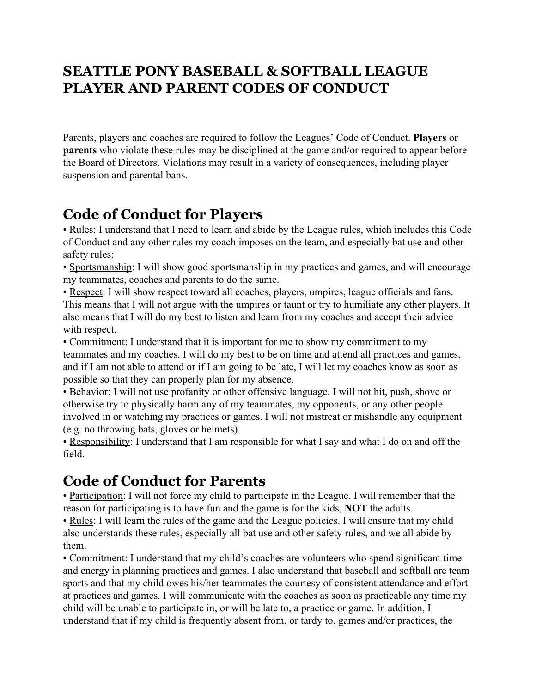## **SEATTLE PONY BASEBALL & SOFTBALL LEAGUE PLAYER AND PARENT CODES OF CONDUCT**

Parents, players and coaches are required to follow the Leagues' Code of Conduct. **Players** or **parents** who violate these rules may be disciplined at the game and/or required to appear before the Board of Directors. Violations may result in a variety of consequences, including player suspension and parental bans.

## **Code of Conduct for Players**

• Rules: I understand that I need to learn and abide by the League rules, which includes this Code of Conduct and any other rules my coach imposes on the team, and especially bat use and other safety rules;

• Sportsmanship: I will show good sportsmanship in my practices and games, and will encourage my teammates, coaches and parents to do the same.

• Respect: I will show respect toward all coaches, players, umpires, league officials and fans. This means that I will not argue with the umpires or taunt or try to humiliate any other players. It also means that I will do my best to listen and learn from my coaches and accept their advice with respect.

• Commitment: I understand that it is important for me to show my commitment to my teammates and my coaches. I will do my best to be on time and attend all practices and games, and if I am not able to attend or if I am going to be late, I will let my coaches know as soon as possible so that they can properly plan for my absence.

• Behavior: I will not use profanity or other offensive language. I will not hit, push, shove or otherwise try to physically harm any of my teammates, my opponents, or any other people involved in or watching my practices or games. I will not mistreat or mishandle any equipment (e.g. no throwing bats, gloves or helmets).

• Responsibility: I understand that I am responsible for what I say and what I do on and off the field.

## **Code of Conduct for Parents**

• Participation: I will not force my child to participate in the League. I will remember that the reason for participating is to have fun and the game is for the kids, **NOT** the adults.

• Rules: I will learn the rules of the game and the League policies. I will ensure that my child also understands these rules, especially all bat use and other safety rules, and we all abide by them.

• Commitment: I understand that my child's coaches are volunteers who spend significant time and energy in planning practices and games. I also understand that baseball and softball are team sports and that my child owes his/her teammates the courtesy of consistent attendance and effort at practices and games. I will communicate with the coaches as soon as practicable any time my child will be unable to participate in, or will be late to, a practice or game. In addition, I understand that if my child is frequently absent from, or tardy to, games and/or practices, the